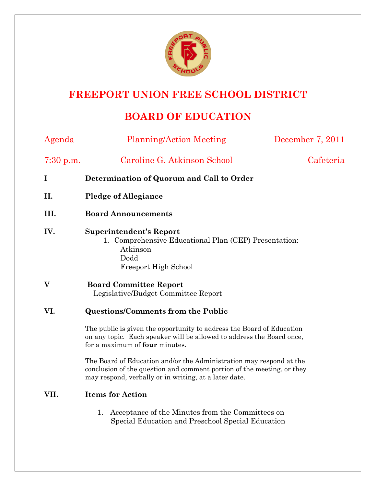

## **FREEPORT UNION FREE SCHOOL DISTRICT**

## **BOARD OF EDUCATION**

| Agenda      | <b>Planning/Action Meeting</b>                                                                                                                                                                         | December 7, 2011 |
|-------------|--------------------------------------------------------------------------------------------------------------------------------------------------------------------------------------------------------|------------------|
| $7:30$ p.m. | Caroline G. Atkinson School                                                                                                                                                                            | Cafeteria        |
| I           | Determination of Quorum and Call to Order                                                                                                                                                              |                  |
| II.         | <b>Pledge of Allegiance</b>                                                                                                                                                                            |                  |
| III.        | <b>Board Announcements</b>                                                                                                                                                                             |                  |
| IV.         | <b>Superintendent's Report</b><br>1. Comprehensive Educational Plan (CEP) Presentation:<br>Atkinson<br>Dodd<br>Freeport High School                                                                    |                  |
| V           | <b>Board Committee Report</b><br>Legislative/Budget Committee Report                                                                                                                                   |                  |
| VI.         | <b>Questions/Comments from the Public</b>                                                                                                                                                              |                  |
|             | The public is given the opportunity to address the Board of Education<br>on any topic. Each speaker will be allowed to address the Board once,<br>for a maximum of <b>four</b> minutes.                |                  |
|             | The Board of Education and/or the Administration may respond at the<br>conclusion of the question and comment portion of the meeting, or they<br>may respond, verbally or in writing, at a later date. |                  |
| VII.        | <b>Items for Action</b>                                                                                                                                                                                |                  |
|             | Acceptance of the Minutes from the Committees on<br>1.                                                                                                                                                 |                  |

Special Education and Preschool Special Education